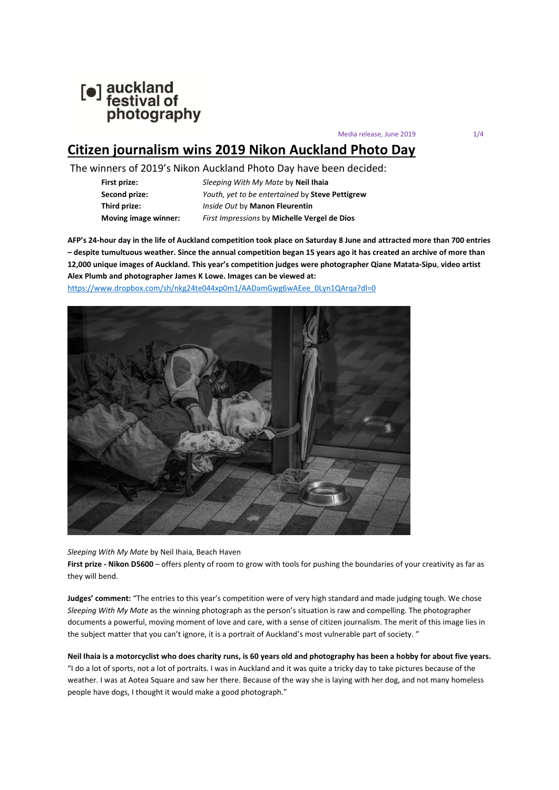

Media release, June 2019 1/4

# **Citizen journalism wins 2019 Nikon Auckland Photo Day**

The winners of 2019's Nikon Auckland Photo Day have been decided:

**First prize:** *Sleeping With My Mate* by **Neil Ihaia Second prize:** *Youth, yet to be entertained* by **Steve Pettigrew Third prize:** *Inside Out* by **Manon Fleurentin Moving image winner:** *First Impressions* by **Michelle Vergel de Dios**

**AFP's 24-hour day in the life of Auckland competition took place on Saturday 8 June and attracted more than 700 entries – despite tumultuous weather. Since the annual competition began 15 years ago it has created an archive of more than 12,000 unique images of Auckland. This year's competition judges were photographer Qiane Matata-Sipu**, **video artist Alex Plumb and photographer James K Lowe. Images can be viewed at:**

[https://www.dropbox.com/sh/nkg24te044xp0m1/AADamGwg6wAEee\\_0Lyn1QArqa?dl=0](https://www.dropbox.com/sh/nkg24te044xp0m1/AADamGwg6wAEee_0Lyn1QArqa?dl=0)



*Sleeping With My Mate* by Neil Ihaia*,* Beach Haven

**First prize - Nikon D5600** – offers plenty of room to grow with tools for pushing the boundaries of your creativity as far as they will bend.

**Judges' comment:** "The entries to this year's competition were of very high standard and made judging tough. We chose *Sleeping With My Mate* as the winning photograph as the person's situation is raw and compelling. The photographer documents a powerful, moving moment of love and care, with a sense of citizen journalism. The merit of this image lies in the subject matter that you can't ignore, it is a portrait of Auckland's most vulnerable part of society. "

**Neil Ihaia is a motorcyclist who does charity runs, is 60 years old and photography has been a hobby for about five years.**  "I do a lot of sports, not a lot of portraits. I was in Auckland and it was quite a tricky day to take pictures because of the weather. I was at Aotea Square and saw her there. Because of the way she is laying with her dog, and not many homeless people have dogs, I thought it would make a good photograph."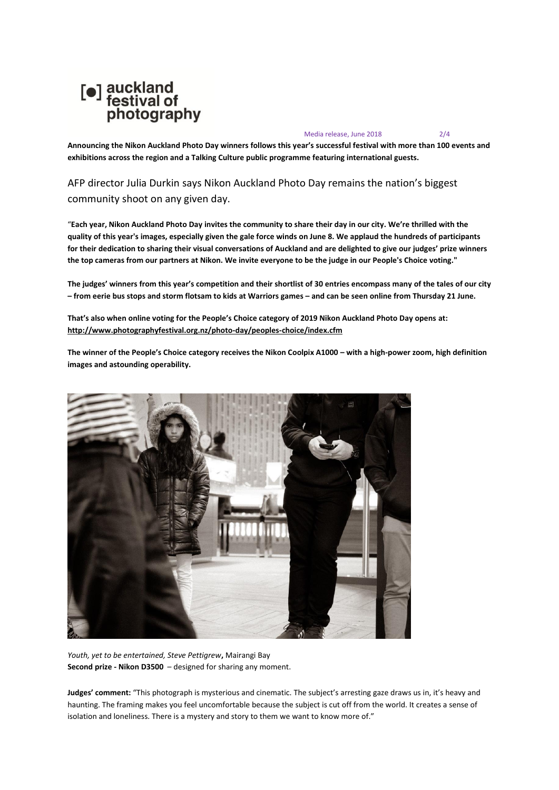

Media release, June 2018 2/4

**Announcing the Nikon Auckland Photo Day winners follows this year's successful festival with more than 100 events and exhibitions across the region and a Talking Culture public programme featuring international guests.**

## AFP director Julia Durkin says Nikon Auckland Photo Day remains the nation's biggest community shoot on any given day.

"**Each year, Nikon Auckland Photo Day invites the community to share their day in our city. We're thrilled with the quality of this year's images, especially given the gale force winds on June 8. We applaud the hundreds of participants for their dedication to sharing their visual conversations of Auckland and are delighted to give our judges' prize winners the top cameras from our partners at Nikon. We invite everyone to be the judge in our People's Choice voting."**

**The judges' winners from this year's competition and their shortlist of 30 entries encompass many of the tales of our city – from eerie bus stops and storm flotsam to kids at Warriors games – and can be seen online from Thursday 21 June.** 

**That's also when online voting for the People's Choice category of 2019 Nikon Auckland Photo Day opens at: <http://www.photographyfestival.org.nz/photo-day/peoples-choice/index.cfm>**

**The winner of the People's Choice category receives the Nikon Coolpix A1000 – with a high-power zoom, high definition images and astounding operability.**



*Youth, yet to be entertained, Steve Pettigrew***,** Mairangi Bay **Second prize - Nikon D3500** – designed for sharing any moment.

**Judges' comment:** "This photograph is mysterious and cinematic. The subject's arresting gaze draws us in, it's heavy and haunting. The framing makes you feel uncomfortable because the subject is cut off from the world. It creates a sense of isolation and loneliness. There is a mystery and story to them we want to know more of."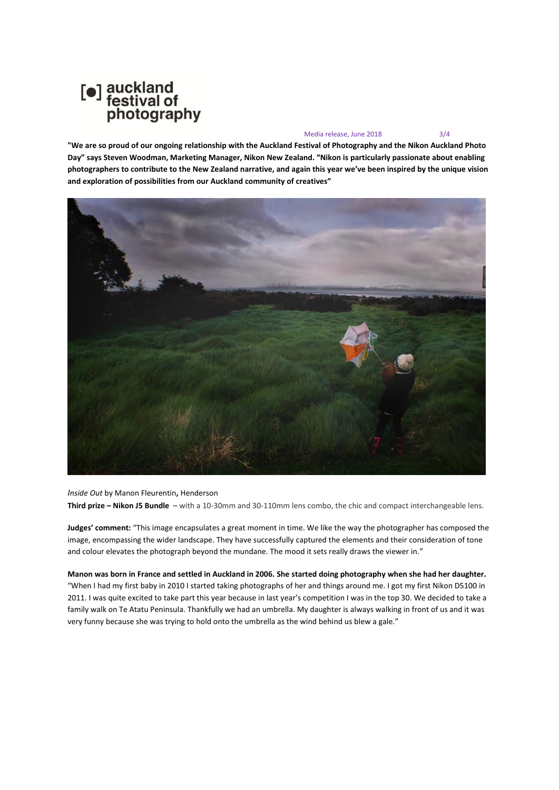# [ $\bullet$ ] auckland<br>festival of<br>photography

#### Media release, June 2018 3/4

**"We are so proud of our ongoing relationship with the Auckland Festival of Photography and the Nikon Auckland Photo Day" says Steven Woodman, Marketing Manager, Nikon New Zealand. "Nikon is particularly passionate about enabling photographers to contribute to the New Zealand narrative, and again this year we've been inspired by the unique vision and exploration of possibilities from our Auckland community of creatives"** 



## *Inside Out* by Manon Fleurentin**,** Henderson

**Third prize – Nikon J5 Bundle** – with a 10-30mm and 30-110mm lens combo, the chic and compact interchangeable lens.

**Judges' comment:** "This image encapsulates a great moment in time. We like the way the photographer has composed the image, encompassing the wider landscape. They have successfully captured the elements and their consideration of tone and colour elevates the photograph beyond the mundane. The mood it sets really draws the viewer in."

**Manon was born in France and settled in Auckland in 2006. She started doing photography when she had her daughter.** "When I had my first baby in 2010 I started taking photographs of her and things around me. I got my first Nikon D5100 in 2011. I was quite excited to take part this year because in last year's competition I was in the top 30. We decided to take a family walk on Te Atatu Peninsula. Thankfully we had an umbrella. My daughter is always walking in front of us and it was very funny because she was trying to hold onto the umbrella as the wind behind us blew a gale."